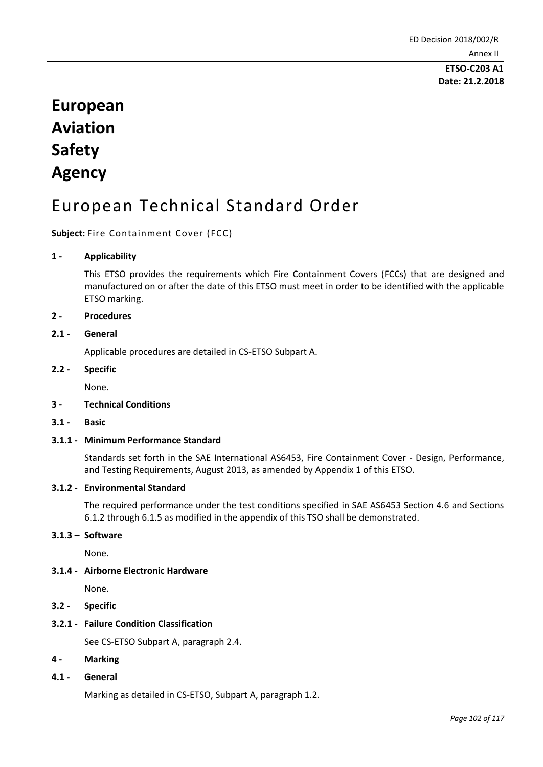**Date: 21.2.2018**

# **European Aviation Safety Agency**

## European Technical Standard Order

#### **Subject:** Fire Containment Cover (FCC)

#### **1 - Applicability**

This ETSO provides the requirements which Fire Containment Covers (FCCs) that are designed and manufactured on or after the date of this ETSO must meet in order to be identified with the applicable ETSO marking.

#### **2 - Procedures**

## **2.1 - General**

Applicable procedures are detailed in CS-ETSO Subpart A.

#### **2.2 - Specific**

None.

#### **3 - Technical Conditions**

**3.1 - Basic** 

#### **3.1.1 - Minimum Performance Standard**

Standards set forth in the SAE International AS6453, Fire Containment Cover - Design, Performance, and Testing Requirements, August 2013, as amended by Appendix 1 of this ETSO.

#### **3.1.2 - Environmental Standard**

The required performance under the test conditions specified in SAE AS6453 Section 4.6 and Sections 6.1.2 through 6.1.5 as modified in the appendix of this TSO shall be demonstrated.

#### **3.1.3 – Software**

None.

#### **3.1.4 - Airborne Electronic Hardware**

None.

**3.2 - Specific** 

#### **3.2.1 - Failure Condition Classification**

See CS-ETSO Subpart A, paragraph 2.4.

- **4 - Marking**
- **4.1 - General**

Marking as detailed in CS-ETSO, Subpart A, paragraph 1.2.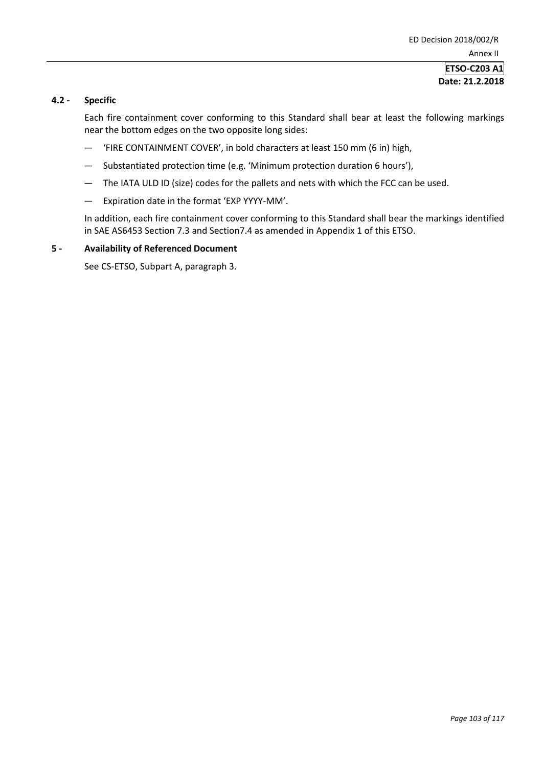#### **ETSO-C203 A1 Date: 21.2.2018**

#### **4.2 - Specific**

Each fire containment cover conforming to this Standard shall bear at least the following markings near the bottom edges on the two opposite long sides:

- 'FIRE CONTAINMENT COVER', in bold characters at least 150 mm (6 in) high,
- Substantiated protection time (e.g. 'Minimum protection duration 6 hours'),
- The IATA ULD ID (size) codes for the pallets and nets with which the FCC can be used.
- Expiration date in the format 'EXP YYYY-MM'.

In addition, each fire containment cover conforming to this Standard shall bear the markings identified in SAE AS6453 Section 7.3 and Section7.4 as amended in Appendix 1 of this ETSO.

#### **5 - Availability of Referenced Document**

See CS-ETSO, Subpart A, paragraph 3.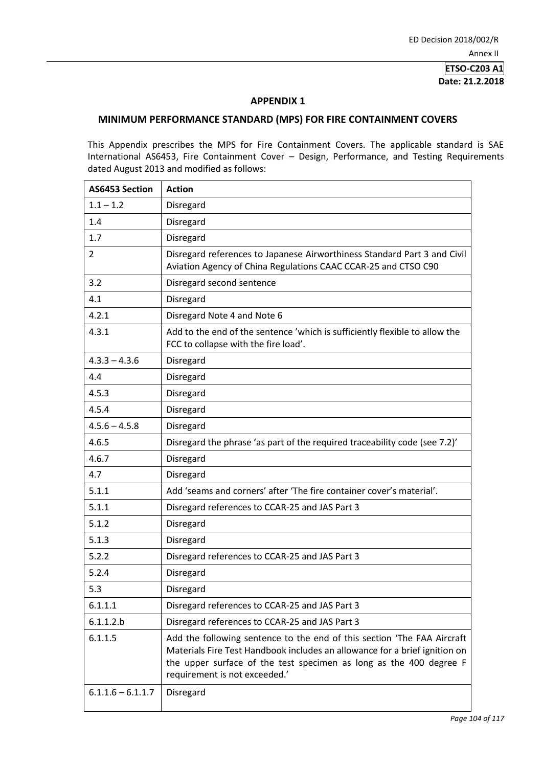**ETSO-C203 A1 Date: 21.2.2018**

#### **APPENDIX 1**

#### **MINIMUM PERFORMANCE STANDARD (MPS) FOR FIRE CONTAINMENT COVERS**

This Appendix prescribes the MPS for Fire Containment Covers. The applicable standard is SAE International AS6453, Fire Containment Cover – Design, Performance, and Testing Requirements dated August 2013 and modified as follows:

| <b>AS6453 Section</b> | <b>Action</b>                                                                                                                                                                                                                                                |
|-----------------------|--------------------------------------------------------------------------------------------------------------------------------------------------------------------------------------------------------------------------------------------------------------|
| $1.1 - 1.2$           | Disregard                                                                                                                                                                                                                                                    |
| 1.4                   | Disregard                                                                                                                                                                                                                                                    |
| 1.7                   | Disregard                                                                                                                                                                                                                                                    |
| $\overline{2}$        | Disregard references to Japanese Airworthiness Standard Part 3 and Civil<br>Aviation Agency of China Regulations CAAC CCAR-25 and CTSO C90                                                                                                                   |
| 3.2                   | Disregard second sentence                                                                                                                                                                                                                                    |
| 4.1                   | Disregard                                                                                                                                                                                                                                                    |
| 4.2.1                 | Disregard Note 4 and Note 6                                                                                                                                                                                                                                  |
| 4.3.1                 | Add to the end of the sentence 'which is sufficiently flexible to allow the<br>FCC to collapse with the fire load'.                                                                                                                                          |
| $4.3.3 - 4.3.6$       | Disregard                                                                                                                                                                                                                                                    |
| 4.4                   | Disregard                                                                                                                                                                                                                                                    |
| 4.5.3                 | Disregard                                                                                                                                                                                                                                                    |
| 4.5.4                 | Disregard                                                                                                                                                                                                                                                    |
| $4.5.6 - 4.5.8$       | Disregard                                                                                                                                                                                                                                                    |
| 4.6.5                 | Disregard the phrase 'as part of the required traceability code (see 7.2)'                                                                                                                                                                                   |
| 4.6.7                 | Disregard                                                                                                                                                                                                                                                    |
| 4.7                   | Disregard                                                                                                                                                                                                                                                    |
| 5.1.1                 | Add 'seams and corners' after 'The fire container cover's material'.                                                                                                                                                                                         |
| 5.1.1                 | Disregard references to CCAR-25 and JAS Part 3                                                                                                                                                                                                               |
| 5.1.2                 | Disregard                                                                                                                                                                                                                                                    |
| 5.1.3                 | Disregard                                                                                                                                                                                                                                                    |
| 5.2.2                 | Disregard references to CCAR-25 and JAS Part 3                                                                                                                                                                                                               |
| 5.2.4                 | Disregard                                                                                                                                                                                                                                                    |
| 5.3                   | Disregard                                                                                                                                                                                                                                                    |
| 6.1.1.1               | Disregard references to CCAR-25 and JAS Part 3                                                                                                                                                                                                               |
| 6.1.1.2.b             | Disregard references to CCAR-25 and JAS Part 3                                                                                                                                                                                                               |
| 6.1.1.5               | Add the following sentence to the end of this section 'The FAA Aircraft<br>Materials Fire Test Handbook includes an allowance for a brief ignition on<br>the upper surface of the test specimen as long as the 400 degree F<br>requirement is not exceeded.' |
| $6.1.1.6 - 6.1.1.7$   | Disregard                                                                                                                                                                                                                                                    |